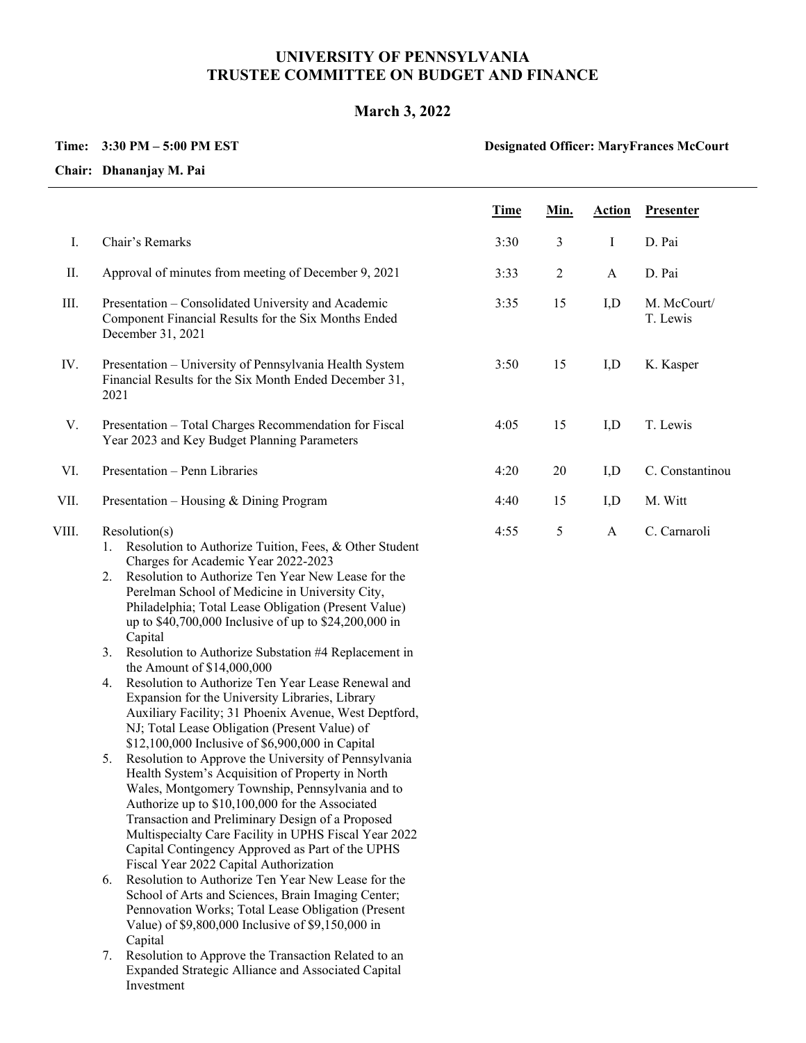## **UNIVERSITY OF PENNSYLVANIA TRUSTEE COMMITTEE ON BUDGET AND FINANCE**

## **March 3, 2022**

## **Time: 3:30 PM – 5:00 PM EST**

## **Designated Officer: MaryFrances McCourt**

**Chair: Dhananjay M. Pai**

|       |                                                                                                                                                                                                                                                                                                                                                                                                                                                                                                                                                                                                                                                                                                                                                                                                                                                                                                                                                                                                                                                                                                                                                                             | <b>Time</b> | Min.           | <b>Action</b> | <b>Presenter</b>        |
|-------|-----------------------------------------------------------------------------------------------------------------------------------------------------------------------------------------------------------------------------------------------------------------------------------------------------------------------------------------------------------------------------------------------------------------------------------------------------------------------------------------------------------------------------------------------------------------------------------------------------------------------------------------------------------------------------------------------------------------------------------------------------------------------------------------------------------------------------------------------------------------------------------------------------------------------------------------------------------------------------------------------------------------------------------------------------------------------------------------------------------------------------------------------------------------------------|-------------|----------------|---------------|-------------------------|
| Ι.    | Chair's Remarks                                                                                                                                                                                                                                                                                                                                                                                                                                                                                                                                                                                                                                                                                                                                                                                                                                                                                                                                                                                                                                                                                                                                                             | 3:30        | 3              | $\bf{I}$      | D. Pai                  |
| Π.    | Approval of minutes from meeting of December 9, 2021                                                                                                                                                                                                                                                                                                                                                                                                                                                                                                                                                                                                                                                                                                                                                                                                                                                                                                                                                                                                                                                                                                                        | 3:33        | $\overline{2}$ | $\mathbf{A}$  | D. Pai                  |
| III.  | Presentation - Consolidated University and Academic<br>Component Financial Results for the Six Months Ended<br>December 31, 2021                                                                                                                                                                                                                                                                                                                                                                                                                                                                                                                                                                                                                                                                                                                                                                                                                                                                                                                                                                                                                                            | 3:35        | 15             | I,D           | M. McCourt/<br>T. Lewis |
| IV.   | Presentation - University of Pennsylvania Health System<br>Financial Results for the Six Month Ended December 31,<br>2021                                                                                                                                                                                                                                                                                                                                                                                                                                                                                                                                                                                                                                                                                                                                                                                                                                                                                                                                                                                                                                                   | 3:50        | 15             | I, D          | K. Kasper               |
| V.    | Presentation - Total Charges Recommendation for Fiscal<br>Year 2023 and Key Budget Planning Parameters                                                                                                                                                                                                                                                                                                                                                                                                                                                                                                                                                                                                                                                                                                                                                                                                                                                                                                                                                                                                                                                                      | 4:05        | 15             | I,D           | T. Lewis                |
| VI.   | Presentation - Penn Libraries                                                                                                                                                                                                                                                                                                                                                                                                                                                                                                                                                                                                                                                                                                                                                                                                                                                                                                                                                                                                                                                                                                                                               | 4:20        | 20             | I,D           | C. Constantinou         |
| VII.  | Presentation – Housing & Dining Program                                                                                                                                                                                                                                                                                                                                                                                                                                                                                                                                                                                                                                                                                                                                                                                                                                                                                                                                                                                                                                                                                                                                     | 4:40        | 15             | I,D           | M. Witt                 |
| VIII. | Resolution(s)<br>Resolution to Authorize Tuition, Fees, & Other Student<br>1.<br>Charges for Academic Year 2022-2023<br>Resolution to Authorize Ten Year New Lease for the<br>2.<br>Perelman School of Medicine in University City,<br>Philadelphia; Total Lease Obligation (Present Value)<br>up to \$40,700,000 Inclusive of up to \$24,200,000 in<br>Capital<br>Resolution to Authorize Substation #4 Replacement in<br>3.<br>the Amount of \$14,000,000<br>Resolution to Authorize Ten Year Lease Renewal and<br>4.<br>Expansion for the University Libraries, Library<br>Auxiliary Facility; 31 Phoenix Avenue, West Deptford,<br>NJ; Total Lease Obligation (Present Value) of<br>\$12,100,000 Inclusive of \$6,900,000 in Capital<br>Resolution to Approve the University of Pennsylvania<br>5.<br>Health System's Acquisition of Property in North<br>Wales, Montgomery Township, Pennsylvania and to<br>Authorize up to \$10,100,000 for the Associated<br>Transaction and Preliminary Design of a Proposed<br>Multispecialty Care Facility in UPHS Fiscal Year 2022<br>Capital Contingency Approved as Part of the UPHS<br>Fiscal Year 2022 Capital Authorization | 4:55        | 5              | $\mathbf{A}$  | C. Carnaroli            |
|       | Resolution to Authorize Ten Year New Lease for the<br>6.<br>School of Arts and Sciences, Brain Imaging Center;<br>Pennovation Works; Total Lease Obligation (Present<br>Value) of \$9,800,000 Inclusive of \$9,150,000 in<br>Capital<br>Resolution to Approve the Transaction Related to an<br>7.<br>Expanded Strategic Alliance and Associated Capital<br>Investment                                                                                                                                                                                                                                                                                                                                                                                                                                                                                                                                                                                                                                                                                                                                                                                                       |             |                |               |                         |